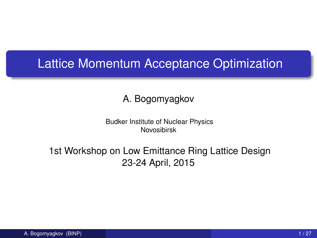## Lattice Momentum Acceptance Optimization

#### A. Bogomyagkov

Budker Institute of Nuclear Physics Novosibirsk

#### 1st Workshop on Low Emittance Ring Lattice Design 23-24 April, 2015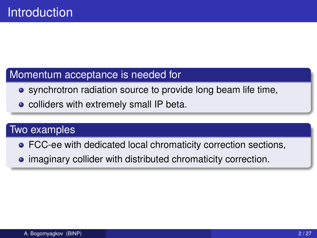#### Momentum acceptance is needed for

- **•** synchrotron radiation source to provide long beam life time,
- colliders with extremely small IP beta.

#### Two examples

- FCC-ee with dedicated local chromaticity correction sections,
- **•** imaginary collider with distributed chromaticity correction.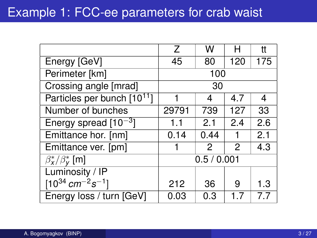|                                                           | 7           | w    | н   | tt  |
|-----------------------------------------------------------|-------------|------|-----|-----|
| Energy [GeV]                                              | 45          | 80   | 120 | 175 |
| Perimeter [km]                                            | 100         |      |     |     |
| Crossing angle [mrad]                                     | 30          |      |     |     |
| Particles per bunch [10 <sup>11</sup> ]                   |             | 4    | 4.7 | 4   |
| Number of bunches                                         | 29791       | 739  | 127 | 33  |
| Energy spread $[10^{-3}]$                                 | 1.1         | 2.1  | 2.4 | 2.6 |
| Emittance hor. [nm]                                       | 0.14        | 0.44 | 1   | 2.1 |
| Emittance ver. [pm]                                       |             | 2    | 2   | 4.3 |
| $\beta_{\mathsf{x}}^{\ast}/\beta_{\mathsf{v}}^{\ast}$ [m] | 0.5 / 0.001 |      |     |     |
| Luminosity / IP                                           |             |      |     |     |
| $[10^{34}$ cm <sup>-2</sup> s <sup>-1</sup> ]             | 212         | 36   | 9   | 1.3 |
| Energy loss / turn [GeV]                                  | 0.03        | 0.3  |     | 77  |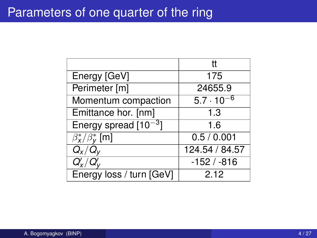#### Parameters of one quarter of the ring

|                                                 | tt                  |
|-------------------------------------------------|---------------------|
| Energy [GeV]                                    | 175                 |
| Perimeter [m]                                   | 24655.9             |
| Momentum compaction                             | $5.7 \cdot 10^{-6}$ |
| Emittance hor. [nm]                             | 1.3                 |
| Energy spread $[10^{-3}]$                       | 1.6                 |
| $\beta_{\mathbf{x}}^*/\beta_{\mathbf{v}}^*$ [m] | 0.5 / 0.001         |
| $Q_{\rm x}/Q_{\rm v}$                           | 124.54/84.57        |
| $Q'_{\mathsf{x}}/Q'_{\mathsf{v}}$               | $-152/ -816$        |
| Energy loss / turn [GeV]                        | 2.12                |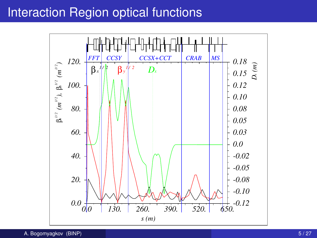### Interaction Region optical functions

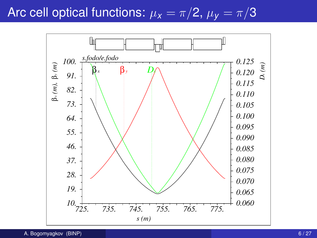# Arc cell optical functions:  $\mu_x = \pi/2$ ,  $\mu_y = \pi/3$

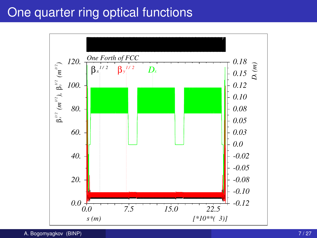## One quarter ring optical functions

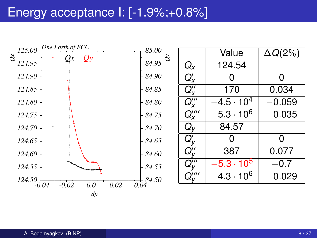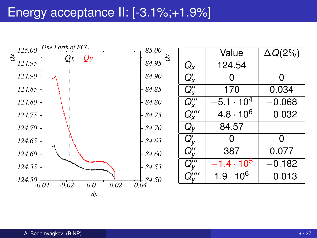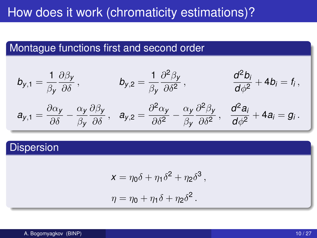# How does it work (chromaticity estimations)?

#### Montague functions first and second order

$$
b_{y,1} = \frac{1}{\beta_y} \frac{\partial \beta_y}{\partial \delta}, \qquad b_{y,2} = \frac{1}{\beta_y} \frac{\partial^2 \beta_y}{\partial \delta^2}, \qquad \frac{d^2 b_i}{d \phi^2} + 4b_i = f_i,
$$
  

$$
a_{y,1} = \frac{\partial \alpha_y}{\partial \delta} - \frac{\alpha_y}{\beta_y} \frac{\partial \beta_y}{\partial \delta}, \quad a_{y,2} = \frac{\partial^2 \alpha_y}{\partial \delta^2} - \frac{\alpha_y}{\beta_y} \frac{\partial^2 \beta_y}{\partial \delta^2}, \quad \frac{d^2 a_i}{d \phi^2} + 4a_i = g_i.
$$

#### Dispersion

$$
x = \eta_0 \delta + \eta_1 \delta^2 + \eta_2 \delta^3,
$$
  

$$
\eta = \eta_0 + \eta_1 \delta + \eta_2 \delta^2.
$$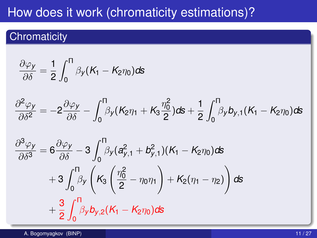# How does it work (chromaticity estimations)?

#### **Chromaticity**

$$
\frac{\partial \varphi_y}{\partial \delta} = \frac{1}{2} \int_0^{\Pi} \beta_y (K_1 - K_2 \eta_0) \, \mathrm{d} s
$$

$$
\frac{\partial^2 \varphi_y}{\partial \delta^2} = -2 \frac{\partial \varphi_y}{\partial \delta} - \int_0^\Pi \beta_y (K_2 \eta_1 + K_3 \frac{\eta_0^2}{2}) ds + \frac{1}{2} \int_0^\Pi \beta_y b_{y,1}(K_1 - K_2 \eta_0) ds
$$

$$
\frac{\partial^3 \varphi_y}{\partial \delta^3} = 6 \frac{\partial \varphi_y}{\partial \delta} - 3 \int_0^{\Pi} \beta_y (a_{y,1}^2 + b_{y,1}^2) (K_1 - K_2 \eta_0) \, ds \n+ 3 \int_0^{\Pi} \beta_y \left( K_3 \left( \frac{\eta_0^2}{2} - \eta_0 \eta_1 \right) + K_2 (\eta_1 - \eta_2) \right) \, ds \n+ \frac{3}{2} \int_0^{\Pi} \beta_y b_{y,2} (K_1 - K_2 \eta_0) \, ds
$$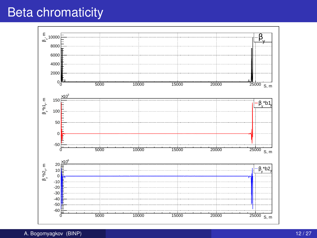## Beta chromaticity

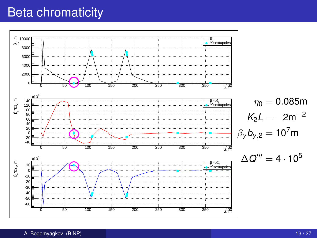## Beta chromaticity

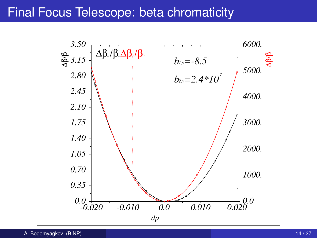#### Final Focus Telescope: beta chromaticity

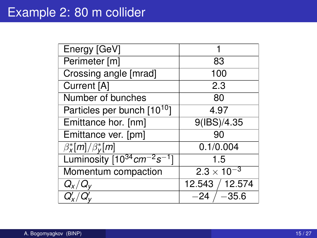| Energy [GeV]                            |                          |
|-----------------------------------------|--------------------------|
| Perimeter [m]                           | 83                       |
| Crossing angle [mrad]                   | 100                      |
| Current [A]                             | 2.3                      |
| Number of bunches                       | 80                       |
| Particles per bunch [10 <sup>10</sup> ] | 4.97                     |
| Emittance hor. [nm]                     | $\overline{9($ IBS)/4.35 |
| Emittance ver. [pm]                     | 90                       |
| $\overline{\beta_X^*[m]}/\beta_Y^*[m]$  | 0.1/0.004                |
| Luminosity $[10^{34} cm^{-2}s^{-1}]$    | 1.5                      |
| Momentum compaction                     | $2.3 \times 10^{-3}$     |
| $Q_{\mathsf{X}}/Q_{\mathsf{V}}$         | 12.543 / 12.574          |
|                                         |                          |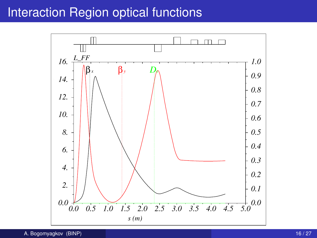### Interaction Region optical functions

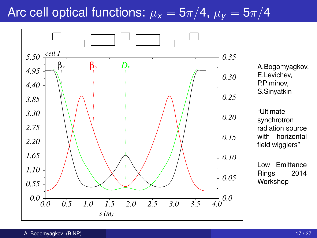# Arc cell optical functions:  $\mu_X = 5\pi/4$ ,  $\mu_Y = 5\pi/4$

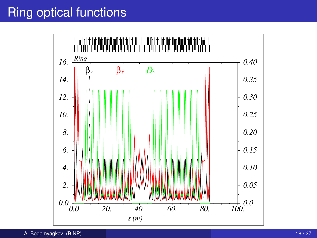# Ring optical functions

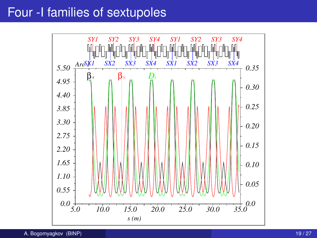#### Four -I families of sextupoles

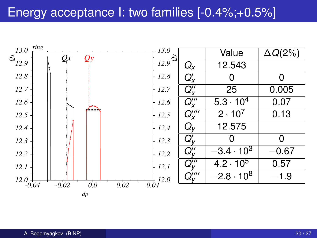#### Energy acceptance I: two families [-0.4%;+0.5%]

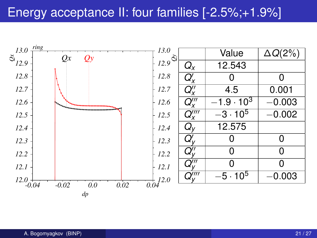### Energy acceptance II: four families [-2.5%;+1.9%]

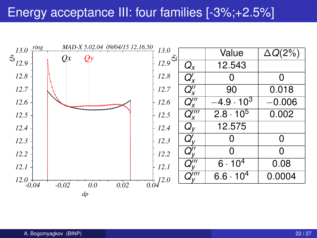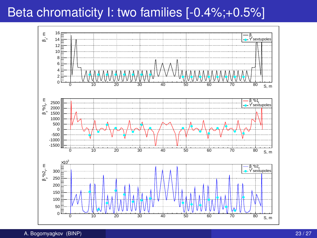# Beta chromaticity I: two families [-0.4%;+0.5%]

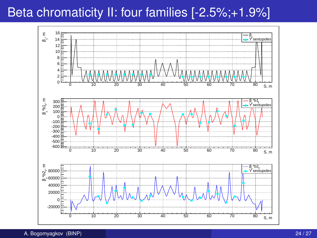# Beta chromaticity II: four families [-2.5%;+1.9%]

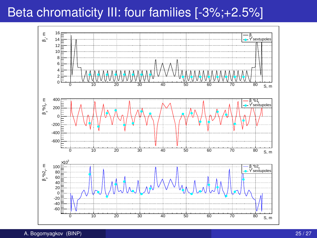# Beta chromaticity III: four families [-3%;+2.5%]

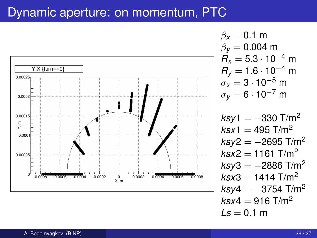#### Dynamic aperture: on momentum, PTC



 $ksx4 = 916$  T/m<sup>2</sup>

 $Ls = 0.1 m$